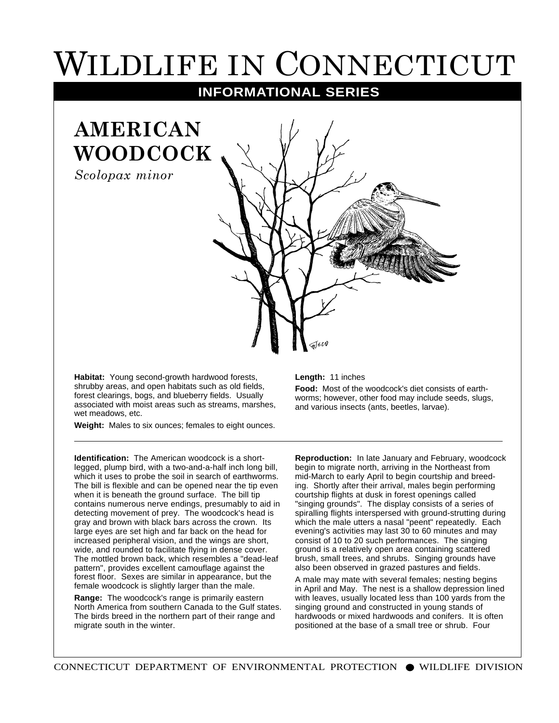## WILDLIFE IN CONNECTICUT

**INFORMATIONAL SERIES**

## **AMERICAN WOODCOCK**

*Scolopax minor*

**Habitat:** Young second-growth hardwood forests, shrubby areas, and open habitats such as old fields, forest clearings, bogs, and blueberry fields. Usually associated with moist areas such as streams, marshes, wet meadows, etc.

**Weight:** Males to six ounces; females to eight ounces.

**Identification:** The American woodcock is a shortlegged, plump bird, with a two-and-a-half inch long bill, which it uses to probe the soil in search of earthworms. The bill is flexible and can be opened near the tip even when it is beneath the ground surface. The bill tip contains numerous nerve endings, presumably to aid in detecting movement of prey. The woodcock's head is gray and brown with black bars across the crown. Its large eyes are set high and far back on the head for increased peripheral vision, and the wings are short, wide, and rounded to facilitate flying in dense cover. The mottled brown back, which resembles a "dead-leaf pattern", provides excellent camouflage against the forest floor. Sexes are similar in appearance, but the female woodcock is slightly larger than the male.

**Range:** The woodcock's range is primarily eastern North America from southern Canada to the Gulf states. The birds breed in the northern part of their range and migrate south in the winter.

## **Length:** 11 inches

**Food:** Most of the woodcock's diet consists of earthworms; however, other food may include seeds, slugs, and various insects (ants, beetles, larvae).

**Reproduction:** In late January and February, woodcock begin to migrate north, arriving in the Northeast from mid-March to early April to begin courtship and breeding. Shortly after their arrival, males begin performing courtship flights at dusk in forest openings called "singing grounds". The display consists of a series of spiralling flights interspersed with ground-strutting during which the male utters a nasal "peent" repeatedly. Each evening's activities may last 30 to 60 minutes and may consist of 10 to 20 such performances. The singing ground is a relatively open area containing scattered brush, small trees, and shrubs. Singing grounds have also been observed in grazed pastures and fields.

A male may mate with several females; nesting begins in April and May. The nest is a shallow depression lined with leaves, usually located less than 100 yards from the singing ground and constructed in young stands of hardwoods or mixed hardwoods and conifers. It is often positioned at the base of a small tree or shrub. Four